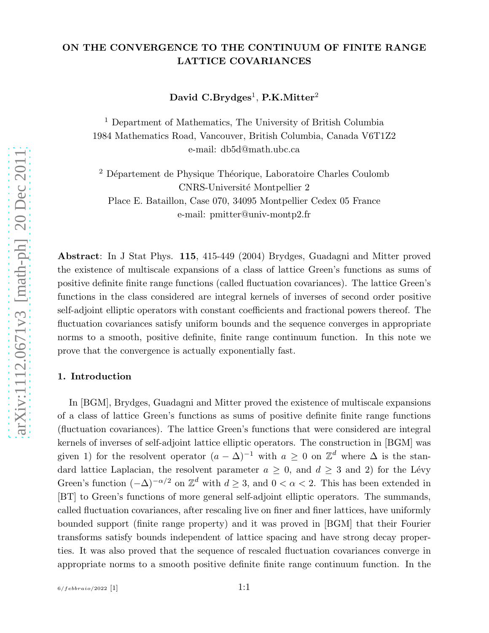# ON THE CONVERGENCE TO THE CONTINUUM OF FINITE RANGE LATTICE COVARIANCES

 $\rm David~C.Brydges^1,~P.K.Mitter^2$ 

<sup>1</sup> Department of Mathematics, The University of British Columbia 1984 Mathematics Road, Vancouver, British Columbia, Canada V6T1Z2 e-mail: db5d@math.ubc.ca

 $^2$  Département de Physique Théorique, Laboratoire Charles Coulomb CNRS-Universit´e Montpellier 2 Place E. Bataillon, Case 070, 34095 Montpellier Cedex 05 France e-mail: pmitter@univ-montp2.fr

Abstract: In J Stat Phys. 115, 415-449 (2004) Brydges, Guadagni and Mitter proved the existence of multiscale expansions of a class of lattice Green's functions as sums of positive definite finite range functions (called fluctuation covariances). The lattice Green's functions in the class considered are integral kernels of inverses of second order positive self-adjoint elliptic operators with constant coefficients and fractional powers thereof. The fluctuation covariances satisfy uniform bounds and the sequence converges in appropriate norms to a smooth, positive definite, finite range continuum function. In this note we prove that the convergence is actually exponentially fast.

#### 1. Introduction

In [BGM], Brydges, Guadagni and Mitter proved the existence of multiscale expansions of a class of lattice Green's functions as sums of positive definite finite range functions (fluctuation covariances). The lattice Green's functions that were considered are integral kernels of inverses of self-adjoint lattice elliptic operators. The construction in [BGM] was given 1) for the resolvent operator  $(a - \Delta)^{-1}$  with  $a \geq 0$  on  $\mathbb{Z}^d$  where  $\Delta$  is the standard lattice Laplacian, the resolvent parameter  $a \geq 0$ , and  $d \geq 3$  and 2) for the Lévy Green's function  $(-\Delta)^{-\alpha/2}$  on  $\mathbb{Z}^d$  with  $d \geq 3$ , and  $0 < \alpha < 2$ . This has been extended in [BT] to Green's functions of more general self-adjoint elliptic operators. The summands, called fluctuation covariances, after rescaling live on finer and finer lattices, have uniformly bounded support (finite range property) and it was proved in [BGM] that their Fourier transforms satisfy bounds independent of lattice spacing and have strong decay properties. It was also proved that the sequence of rescaled fluctuation covariances converge in appropriate norms to a smooth positive definite finite range continuum function. In the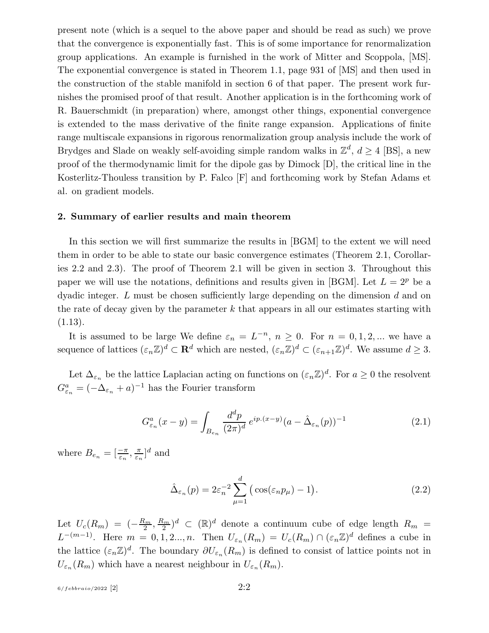present note (which is a sequel to the above paper and should be read as such) we prove that the convergence is exponentially fast. This is of some importance for renormalization group applications. An example is furnished in the work of Mitter and Scoppola, [MS]. The exponential convergence is stated in Theorem 1.1, page 931 of [MS] and then used in the construction of the stable manifold in section 6 of that paper. The present work furnishes the promised proof of that result. Another application is in the forthcoming work of R. Bauerschmidt (in preparation) where, amongst other things, exponential convergence is extended to the mass derivative of the finite range expansion. Applications of finite range multiscale expansions in rigorous renormalization group analysis include the work of Brydges and Slade on weakly self-avoiding simple random walks in  $\mathbb{Z}^d$ ,  $d \geq 4$  [BS], a new proof of the thermodynamic limit for the dipole gas by Dimock [D], the critical line in the Kosterlitz-Thouless transition by P. Falco [F] and forthcoming work by Stefan Adams et al. on gradient models.

## 2. Summary of earlier results and main theorem

In this section we will first summarize the results in [BGM] to the extent we will need them in order to be able to state our basic convergence estimates (Theorem 2.1, Corollaries 2.2 and 2.3). The proof of Theorem 2.1 will be given in section 3. Throughout this paper we will use the notations, definitions and results given in [BGM]. Let  $L = 2^p$  be a dyadic integer. L must be chosen sufficiently large depending on the dimension d and on the rate of decay given by the parameter  $k$  that appears in all our estimates starting with (1.13).

It is assumed to be large We define  $\varepsilon_n = L^{-n}$ ,  $n \ge 0$ . For  $n = 0, 1, 2, ...$  we have a sequence of lattices  $(\varepsilon_n \mathbb{Z})^d \subset \mathbf{R}^d$  which are nested,  $(\varepsilon_n \mathbb{Z})^d \subset (\varepsilon_{n+1} \mathbb{Z})^d$ . We assume  $d \geq 3$ .

Let  $\Delta_{\varepsilon_n}$  be the lattice Laplacian acting on functions on  $(\varepsilon_n \mathbb{Z})^d$ . For  $a \geq 0$  the resolvent  $G_{\varepsilon_n}^a = (-\Delta_{\varepsilon_n} + a)^{-1}$  has the Fourier transform

$$
G_{\varepsilon_n}^a(x - y) = \int_{B_{e_n}} \frac{d^d p}{(2\pi)^d} e^{ip.(x - y)} (a - \hat{\Delta}_{\varepsilon_n}(p))^{-1}
$$
 (2.1)

where  $B_{e_n} = \left[\frac{-\pi}{\varepsilon_n}, \frac{\pi}{\varepsilon_n}\right]$  $\frac{\pi}{\varepsilon_n}]^d$  and

$$
\hat{\Delta}_{\varepsilon_n}(p) = 2\varepsilon_n^{-2} \sum_{\mu=1}^d \left( \cos(\varepsilon_n p_\mu) - 1 \right).
$$
 (2.2)

Let  $U_c(R_m) = \left(-\frac{R_m}{2}\right)$  $\frac{R_m}{2}, \frac{R_m}{2}$  $\frac{(2m)}{2}$  $)^d$   $\subset$   $(\mathbb{R})^d$  denote a continuum cube of edge length  $R_m$  =  $L^{-(m-1)}$ . Here  $m = 0, 1, 2..., n$ . Then  $U_{\varepsilon_n}(R_m) = U_c(R_m) \cap (\varepsilon_n \mathbb{Z})^d$  defines a cube in the lattice  $(\varepsilon_n \mathbb{Z})^d$ . The boundary  $\partial U_{\varepsilon_n}(R_m)$  is defined to consist of lattice points not in  $U_{\varepsilon_n}(R_m)$  which have a nearest neighbour in  $U_{\varepsilon_n}(R_m)$ .

 $6/febbraio/2022$  [2]  $2:2$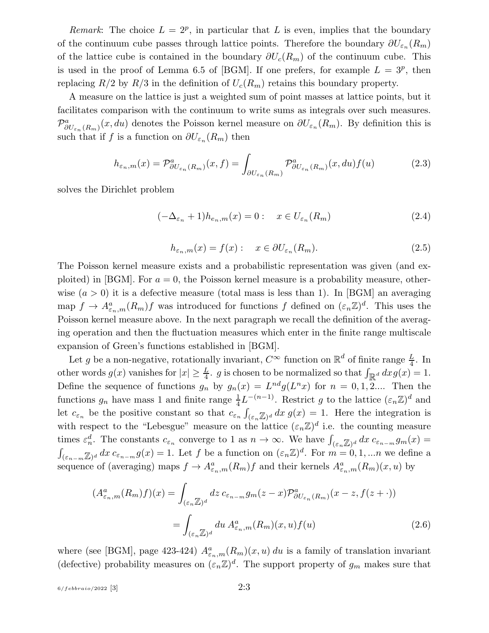*Remark*: The choice  $L = 2^p$ , in particular that L is even, implies that the boundary of the continuum cube passes through lattice points. Therefore the boundary  $\partial U_{\varepsilon_n}(R_m)$ of the lattice cube is contained in the boundary  $\partial U_c(R_m)$  of the continuum cube. This is used in the proof of Lemma 6.5 of [BGM]. If one prefers, for example  $L = 3<sup>p</sup>$ , then replacing  $R/2$  by  $R/3$  in the definition of  $U_c(R_m)$  retains this boundary property.

A measure on the lattice is just a weighted sum of point masses at lattice points, but it facilitates comparison with the continuum to write sums as integrals over such measures.  $\mathcal{P}^a_\partial$  $\partial U_{\varepsilon_n}(R_m)(x,du)$  denotes the Poisson kernel measure on  $\partial U_{\varepsilon_n}(R_m)$ . By definition this is such that if f is a function on  $\partial U_{\varepsilon_n}(R_m)$  then

$$
h_{\varepsilon_n,m}(x) = \mathcal{P}_{\partial U_{\varepsilon_n}(R_m)}^a(x,f) = \int_{\partial U_{\varepsilon_n}(R_m)} \mathcal{P}_{\partial U_{\varepsilon_n}(R_m)}^a(x,du) f(u) \tag{2.3}
$$

solves the Dirichlet problem

$$
(-\Delta_{\varepsilon_n} + 1)h_{e_n,m}(x) = 0: \quad x \in U_{\varepsilon_n}(R_m)
$$
\n(2.4)

$$
h_{\varepsilon_n,m}(x) = f(x): \quad x \in \partial U_{\varepsilon_n}(R_m). \tag{2.5}
$$

The Poisson kernel measure exists and a probabilistic representation was given (and exploited) in [BGM]. For  $a = 0$ , the Poisson kernel measure is a probability measure, otherwise  $(a > 0)$  it is a defective measure (total mass is less than 1). In [BGM] an averaging map  $f \to A^a_{\varepsilon_n,m}(R_m) f$  was introduced for functions f defined on  $(\varepsilon_n \mathbb{Z})^d$ . This uses the Poisson kernel measure above. In the next paragraph we recall the definition of the averaging operation and then the fluctuation measures which enter in the finite range multiscale expansion of Green's functions established in [BGM].

Let g be a non-negative, rotationally invariant,  $C^{\infty}$  function on  $\mathbb{R}^d$  of finite range  $\frac{L}{4}$ . In other words  $g(x)$  vanishes for  $|x| \geq \frac{L}{4}$ . g is chosen to be normalized so that  $\int_{\mathbb{R}^d} dx g(x) = 1$ . Define the sequence of functions  $g_n$  by  $g_n(x) = L^{nd}g(L^n x)$  for  $n = 0, 1, 2,...$  Then the functions  $g_n$  have mass 1 and finite range  $\frac{1}{4}L^{-(n-1)}$ . Restrict g to the lattice  $(\epsilon_n \mathbb{Z})^d$  and let  $c_{\varepsilon_n}$  be the positive constant so that  $c_{\varepsilon_n} \int_{(\varepsilon_n \mathbb{Z})^d} dx g(x) = 1$ . Here the integration is with respect to the "Lebesgue" measure on the lattice  $(\varepsilon_n \mathbb{Z})^d$  i.e. the counting measure times  $\varepsilon_n^d$ . The constants  $c_{\varepsilon_n}$  converge to 1 as  $n \to \infty$ . We have  $\int_{(\varepsilon_n \mathbb{Z})^d} dx c_{\varepsilon_{n-m}} g_m(x) =$  $\int_{(\varepsilon_{n-m}\mathbb{Z})^d} dx \, c_{\varepsilon_{n-m}} g(x) = 1$ . Let f be a function on  $(\varepsilon_n \mathbb{Z})^d$ . For  $m = 0, 1, ...n$  we define a sequence of (averaging) maps  $f \to A^a_{\varepsilon_n,m}(R_m) f$  and their kernels  $A^a_{\varepsilon_n,m}(R_m)(x,u)$  by

$$
(A_{\varepsilon_n,m}^a(R_m)f)(x) = \int_{(\varepsilon_n \mathbb{Z})^d} dz \, c_{\varepsilon_{n-m}} g_m(z-x) \mathcal{P}_{\partial U_{\varepsilon_n}(R_m)}^a(x-z, f(z+\cdot))
$$

$$
= \int_{(\varepsilon_n \mathbb{Z})^d} du \, A_{\varepsilon_n,m}^a(R_m)(x, u) f(u) \tag{2.6}
$$

where (see [BGM], page 423-424)  $A_{\varepsilon_n,m}^a(R_m)(x, u) du$  is a family of translation invariant (defective) probability measures on  $(\epsilon_n \mathbb{Z})^d$ . The support property of  $g_m$  makes sure that

 $6/febbraio/2022$  [3]  $2:3$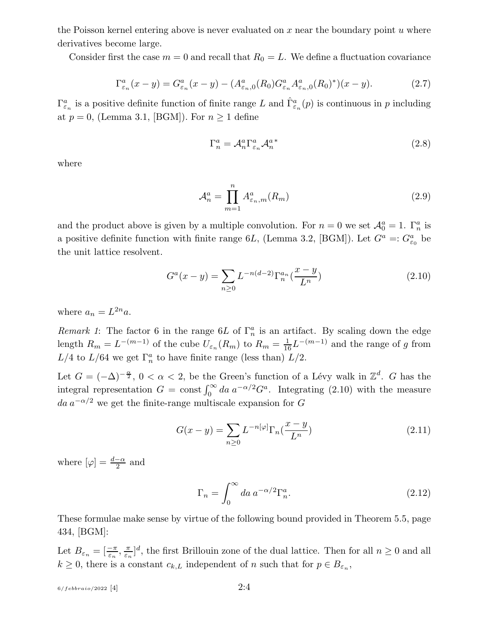the Poisson kernel entering above is never evaluated on  $x$  near the boundary point  $u$  where derivatives become large.

Consider first the case  $m = 0$  and recall that  $R_0 = L$ . We define a fluctuation covariance

$$
\Gamma_{\varepsilon_n}^a(x-y) = G_{\varepsilon_n}^a(x-y) - (A_{\varepsilon_n,0}^a(R_0)G_{\varepsilon_n}^a A_{\varepsilon_n,0}^a(R_0)^*)(x-y). \tag{2.7}
$$

 $\Gamma^a_{\varepsilon_n}$  is a positive definite function of finite range L and  $\hat{\Gamma}^a_{\varepsilon_n}(p)$  is continuous in p including at  $p = 0$ , (Lemma 3.1, [BGM]). For  $n \geq 1$  define

$$
\Gamma_n^a = \mathcal{A}_n^a \Gamma_{\varepsilon_n}^a \mathcal{A}_n^{a*} \tag{2.8}
$$

where

$$
\mathcal{A}_n^a = \prod_{m=1}^n A_{\varepsilon_n,m}^a(R_m)
$$
\n(2.9)

and the product above is given by a multiple convolution. For  $n = 0$  we set  $\mathcal{A}_0^a = 1$ .  $\Gamma_n^a$  is a positive definite function with finite range 6L, (Lemma 3.2, [BGM]). Let  $G^a =: G^a_{\varepsilon_0}$  be the unit lattice resolvent.

$$
G^{a}(x-y) = \sum_{n\geq 0} L^{-n(d-2)} \Gamma_{n}^{a_{n}}(\frac{x-y}{L^{n}})
$$
\n(2.10)

where  $a_n = L^{2n} a$ .

*Remark 1*: The factor 6 in the range  $6L$  of  $\Gamma_n^a$  is an artifact. By scaling down the edge length  $R_m = L^{-(m-1)}$  of the cube  $U_{\varepsilon_n}(R_m)$  to  $R_m = \frac{1}{16}L^{-(m-1)}$  and the range of g from  $L/4$  to  $L/64$  we get  $\Gamma_n^a$  to have finite range (less than)  $L/2$ .

Let  $G = (-\Delta)^{-\frac{\alpha}{2}}$ ,  $0 < \alpha < 2$ , be the Green's function of a Lévy walk in  $\mathbb{Z}^d$ . G has the integral representation  $G = \text{const} \int_0^\infty da \ a^{-\alpha/2} G^a$ . Integrating (2.10) with the measure  $da \, a^{-\alpha/2}$  we get the finite-range multiscale expansion for G

$$
G(x-y) = \sum_{n\geq 0} L^{-n[\varphi]} \Gamma_n(\frac{x-y}{L^n})
$$
\n(2.11)

where  $[\varphi] = \frac{d-\alpha}{2}$  and

$$
\Gamma_n = \int_0^\infty da \, a^{-\alpha/2} \Gamma_n^a. \tag{2.12}
$$

These formulae make sense by virtue of the following bound provided in Theorem 5.5, page 434, [BGM]:

Let  $B_{\varepsilon_n} = \left[\frac{-\pi}{\varepsilon_n}, \frac{\pi}{\varepsilon_n}\right]$  $\frac{\pi}{\varepsilon_n}$ <sup>d</sup>, the first Brillouin zone of the dual lattice. Then for all  $n \geq 0$  and all  $k \geq 0$ , there is a constant  $c_{k,L}$  independent of n such that for  $p \in B_{\varepsilon_n}$ ,

 $6/febbraio/2022$  [4]  $2:4$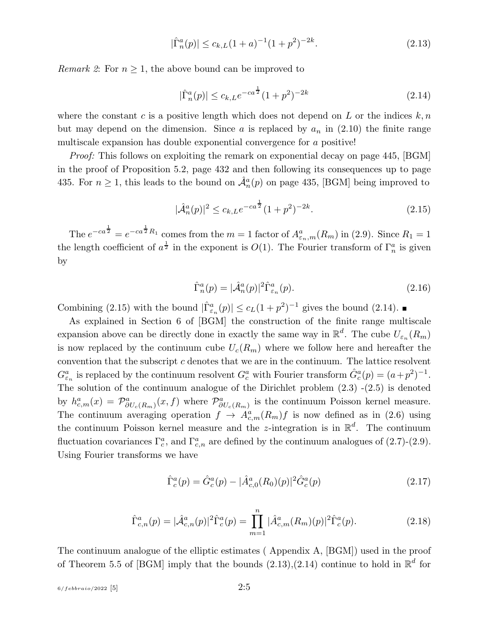$$
|\hat{\Gamma}_n^a(p)| \le c_{k,L}(1+a)^{-1}(1+p^2)^{-2k}.
$$
\n(2.13)

*Remark 2*: For  $n \geq 1$ , the above bound can be improved to

$$
|\hat{\Gamma}_n^a(p)| \le c_{k,L} e^{-ca^{\frac{1}{2}}}(1+p^2)^{-2k}
$$
\n(2.14)

where the constant c is a positive length which does not depend on  $L$  or the indices  $k, n$ but may depend on the dimension. Since a is replaced by  $a_n$  in (2.10) the finite range multiscale expansion has double exponential convergence for a positive!

*Proof:* This follows on exploiting the remark on exponential decay on page 445, [BGM] in the proof of Proposition 5.2, page 432 and then following its consequences up to page 435. For  $n \geq 1$ , this leads to the bound on  $\hat{\mathcal{A}}_n^a(p)$  on page 435, [BGM] being improved to

$$
|\hat{\mathcal{A}}_n^a(p)|^2 \le c_{k,L} e^{-ca^{\frac{1}{2}}} (1+p^2)^{-2k}.
$$
 (2.15)

The  $e^{-ca^{\frac{1}{2}}} = e^{-ca^{\frac{1}{2}}R_1}$  comes from the  $m = 1$  factor of  $A_{\varepsilon_n,m}^a(R_m)$  in (2.9). Since  $R_1 = 1$ the length coefficient of  $a^{\frac{1}{2}}$  in the exponent is  $O(1)$ . The Fourier transform of  $\Gamma_n^a$  is given by

$$
\hat{\Gamma}_n^a(p) = |\hat{\mathcal{A}}_n^a(p)|^2 \hat{\Gamma}_{\varepsilon_n}^a(p). \tag{2.16}
$$

Combining (2.15) with the bound  $|\hat{\Gamma}_{\varepsilon_n}^a(p)| \leq c_L(1+p^2)^{-1}$  gives the bound (2.14).

As explained in Section 6 of [BGM] the construction of the finite range multiscale expansion above can be directly done in exactly the same way in  $\mathbb{R}^d$ . The cube  $U_{\varepsilon_n}(R_m)$ is now replaced by the continuum cube  $U_c(R_m)$  where we follow here and hereafter the convention that the subscript  $c$  denotes that we are in the continuum. The lattice resolvent  $G_{\varepsilon_n}^a$  is replaced by the continuum resolvent  $G_c^a$  with Fourier transform  $\hat{G}_c^a(p) = (a+p^2)^{-1}$ . The solution of the continuum analogue of the Dirichlet problem  $(2.3)$  - $(2.5)$  is denoted by  $h_{c,m}^a(x) = \mathcal{P}_{\partial}^a$  $\partial U_c(R_m)(x, f)$  where  $\mathcal{P}_{\partial}^a$  $\partial U_c(R_m)$  is the continuum Poisson kernel measure. The continuum averaging operation  $f \to A_{c,m}^a(R_m)f$  is now defined as in (2.6) using the continuum Poisson kernel measure and the *z*-integration is in  $\mathbb{R}^d$ . The continuum fluctuation covariances  $\Gamma_c^a$ , and  $\Gamma_{c,n}^a$  are defined by the continuum analogues of (2.7)-(2.9). Using Fourier transforms we have

$$
\hat{\Gamma}_c^a(p) = \hat{G}_c^a(p) - |\hat{A}_{c,0}^a(R_0)(p)|^2 \hat{G}_c^a(p) \tag{2.17}
$$

$$
\hat{\Gamma}_{c,n}^{a}(p) = |\hat{\mathcal{A}}_{c,n}^{a}(p)|^{2} \hat{\Gamma}_{c}^{a}(p) = \prod_{m=1}^{n} |\hat{A}_{c,m}^{a}(R_m)(p)|^{2} \hat{\Gamma}_{c}^{a}(p).
$$
\n(2.18)

The continuum analogue of the elliptic estimates ( Appendix A, [BGM]) used in the proof of Theorem 5.5 of [BGM] imply that the bounds  $(2.13),(2.14)$  continue to hold in  $\mathbb{R}^d$  for

 $6/febbraio/2022$  [5]  $2:5$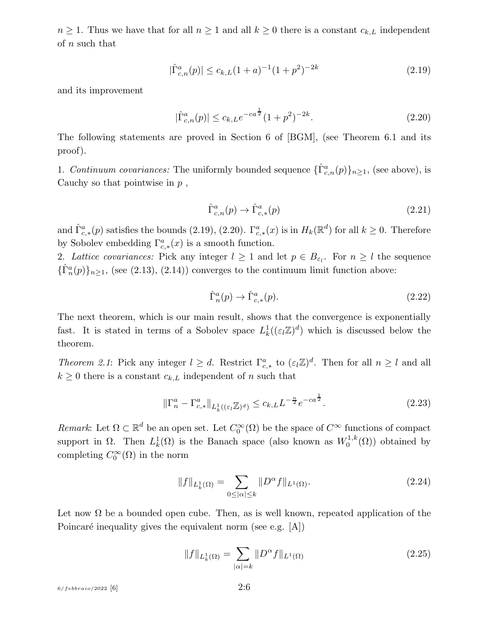$n \geq 1$ . Thus we have that for all  $n \geq 1$  and all  $k \geq 0$  there is a constant  $c_{k,L}$  independent of n such that

$$
|\hat{\Gamma}_{c,n}^a(p)| \le c_{k,L}(1+a)^{-1}(1+p^2)^{-2k} \tag{2.19}
$$

and its improvement

$$
|\hat{\Gamma}_{c,n}^{a}(p)| \le c_{k,L} e^{-ca^{\frac{1}{2}}}(1+p^2)^{-2k}.
$$
\n(2.20)

The following statements are proved in Section 6 of [BGM], (see Theorem 6.1 and its proof).

1. *Continuum covariances:* The uniformly bounded sequence  $\{\hat{\Gamma}_{c,n}^{a}(p)\}_{n\geq1}$ , (see above), is Cauchy so that pointwise in  $p$ ,

$$
\hat{\Gamma}_{c,n}^a(p) \to \hat{\Gamma}_{c,*}^a(p) \tag{2.21}
$$

and  $\hat{\Gamma}_{c,*}^a(p)$  satisfies the bounds (2.19), (2.20).  $\Gamma_{c,*}^a(x)$  is in  $H_k(\mathbb{R}^d)$  for all  $k \geq 0$ . Therefore by Sobolev embedding  $\Gamma^a_{c,*}(x)$  is a smooth function.

2. Lattice covariances: Pick any integer  $l \geq 1$  and let  $p \in B_{\varepsilon_l}$ . For  $n \geq l$  the sequence  ${\{\hat{\Gamma}_n^a(p)\}_{n \geq 1}}$ , (see (2.13), (2.14)) converges to the continuum limit function above:

$$
\hat{\Gamma}_n^a(p) \to \hat{\Gamma}_{c,*}^a(p). \tag{2.22}
$$

The next theorem, which is our main result, shows that the convergence is exponentially fast. It is stated in terms of a Sobolev space  $L_k^1((\epsilon_l \mathbb{Z})^d)$  which is discussed below the theorem.

*Theorem 2.1*: Pick any integer  $l \geq d$ . Restrict  $\Gamma_{c,*}^a$  to  $(\varepsilon_l \mathbb{Z})^d$ . Then for all  $n \geq l$  and all  $k \geq 0$  there is a constant  $c_{k,L}$  independent of n such that

$$
\|\Gamma_n^a - \Gamma_{c,*}^a\|_{L^1_k((\varepsilon_l \mathbb{Z})^d)} \le c_{k,L} L^{-\frac{n}{2}} e^{-ca^{\frac{1}{2}}}.
$$
\n(2.23)

*Remark*: Let  $\Omega \subset \mathbb{R}^d$  be an open set. Let  $C_0^{\infty}(\Omega)$  be the space of  $C^{\infty}$  functions of compact support in  $\Omega$ . Then  $L^1_k(\Omega)$  is the Banach space (also known as  $W_0^{1,k}$  $L_0^{1,\kappa}(\Omega)$  obtained by completing  $C_0^{\infty}(\Omega)$  in the norm

$$
||f||_{L^1_k(\Omega)} = \sum_{0 \le |\alpha| \le k} ||D^{\alpha} f||_{L^1(\Omega)}.
$$
\n(2.24)

Let now  $\Omega$  be a bounded open cube. Then, as is well known, repeated application of the Poincaré inequality gives the equivalent norm (see e.g.  $[A]$ )

$$
||f||_{L^1_k(\Omega)} = \sum_{|\alpha|=k} ||D^{\alpha} f||_{L^1(\Omega)}
$$
\n(2.25)

 $6/febbraio/2022$  [6]  $2:6$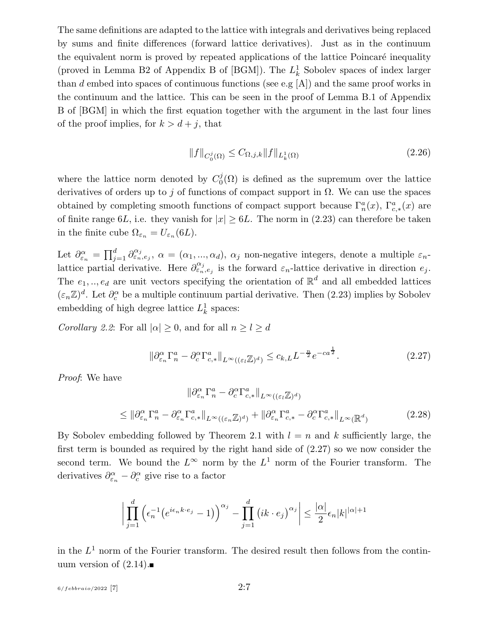The same definitions are adapted to the lattice with integrals and derivatives being replaced by sums and finite differences (forward lattice derivatives). Just as in the continuum the equivalent norm is proved by repeated applications of the lattice Poincaré inequality (proved in Lemma B2 of Appendix B of  $[BGM]$ ). The  $L_k^1$  Sobolev spaces of index larger than d embed into spaces of continuous functions (see e.g  $[A]$ ) and the same proof works in the continuum and the lattice. This can be seen in the proof of Lemma B.1 of Appendix B of [BGM] in which the first equation together with the argument in the last four lines of the proof implies, for  $k > d + j$ , that

$$
||f||_{C_0^j(\Omega)} \le C_{\Omega,j,k} ||f||_{L_k^1(\Omega)} \tag{2.26}
$$

where the lattice norm denoted by  $C_0^j$  $\binom{0}{0}$  is defined as the supremum over the lattice derivatives of orders up to j of functions of compact support in  $\Omega$ . We can use the spaces obtained by completing smooth functions of compact support because  $\Gamma_n^a(x)$ ,  $\Gamma_{c,*}^a(x)$  are of finite range 6L, i.e. they vanish for  $|x| \geq 6L$ . The norm in (2.23) can therefore be taken in the finite cube  $\Omega_{\varepsilon_n} = U_{\varepsilon_n}(6L)$ .

Let  $\partial_{\varepsilon_n}^{\alpha} = \prod_{j=1}^d \partial_{\varepsilon_n, e_j}^{\alpha_j}, \ \alpha = (\alpha_1, ..., \alpha_d), \ \alpha_j$  non-negative integers, denote a multiple  $\varepsilon_n$ lattice partial derivative. Here  $\partial_{\varepsilon_n,e_j}^{\alpha_j}$  is the forward  $\varepsilon_n$ -lattice derivative in direction  $e_j$ . The  $e_1, \ldots, e_d$  are unit vectors specifying the orientation of  $\mathbb{R}^d$  and all embedded lattices  $(\varepsilon_n \mathbb{Z})^d$ . Let  $\partial_c^{\alpha}$  be a multiple continuum partial derivative. Then (2.23) implies by Sobolev embedding of high degree lattice  $L_k^1$  spaces:

*Corollary 2.2*: For all  $|\alpha| \ge 0$ , and for all  $n \ge l \ge d$ 

$$
\|\partial_{\varepsilon_n}^{\alpha}\Gamma_n^a - \partial_c^{\alpha}\Gamma_{c,*}^a\|_{L^{\infty}((\varepsilon_l \mathbb{Z})^d)} \leq c_{k,L}L^{-\frac{n}{2}}e^{-ca^{\frac{1}{2}}}.
$$
\n(2.27)

*Proof*: We have

$$
\|\partial_{\varepsilon_n}^{\alpha} \Gamma_n^a - \partial_c^{\alpha} \Gamma_{c,*}^a\|_{L^{\infty}((\varepsilon_l \mathbb{Z})^d)}
$$
  

$$
\leq \|\partial_{\varepsilon_n}^{\alpha} \Gamma_n^a - \partial_{\varepsilon_n}^{\alpha} \Gamma_{c,*}^a\|_{L^{\infty}((\varepsilon_n \mathbb{Z})^d)} + \|\partial_{\varepsilon_n}^{\alpha} \Gamma_{c,*}^a - \partial_c^{\alpha} \Gamma_{c,*}^a\|_{L^{\infty}(\mathbb{R}^d)} \tag{2.28}
$$

By Sobolev embedding followed by Theorem 2.1 with  $l = n$  and k sufficiently large, the first term is bounded as required by the right hand side of (2.27) so we now consider the second term. We bound the  $L^{\infty}$  norm by the  $L^{1}$  norm of the Fourier transform. The derivatives  $\partial_{\varepsilon_n}^{\alpha} - \partial_c^{\alpha}$  give rise to a factor

$$
\left| \prod_{j=1}^d \left( \epsilon_n^{-1} \left( e^{i\epsilon_n k \cdot e_j} - 1 \right) \right)^{\alpha_j} - \prod_{j=1}^d \left( i k \cdot e_j \right)^{\alpha_j} \right| \le \frac{|\alpha|}{2} \epsilon_n |k|^{|\alpha|+1}
$$

in the  $L^1$  norm of the Fourier transform. The desired result then follows from the continuum version of  $(2.14)$ .

 $6/febbraio/2022$  [7]  $2:7$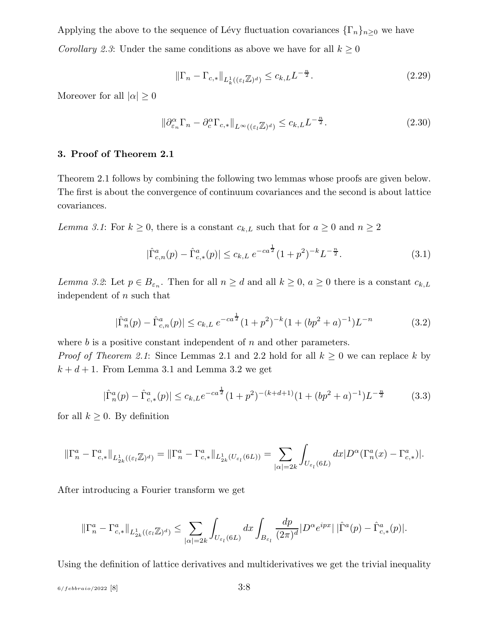Applying the above to the sequence of Lévy fluctuation covariances  $\{\Gamma_n\}_{n>0}$  we have *Corollary 2.3*: Under the same conditions as above we have for all  $k \geq 0$ 

$$
\|\Gamma_n - \Gamma_{c,*}\|_{L^1_k((\varepsilon_l \mathbb{Z})^d)} \le c_{k,L} L^{-\frac{n}{2}}.
$$
\n(2.29)

Moreover for all  $|\alpha| \geq 0$ 

$$
\|\partial_{\varepsilon_n}^{\alpha}\Gamma_n - \partial_c^{\alpha}\Gamma_{c,*}\|_{L^{\infty}((\varepsilon_l \mathbb{Z})^d)} \leq c_{k,L}L^{-\frac{n}{2}}.
$$
\n(2.30)

### 3. Proof of Theorem 2.1

Theorem 2.1 follows by combining the following two lemmas whose proofs are given below. The first is about the convergence of continuum covariances and the second is about lattice covariances.

*Lemma 3.1*: For  $k \geq 0$ , there is a constant  $c_{k,L}$  such that for  $a \geq 0$  and  $n \geq 2$ 

$$
|\hat{\Gamma}_{c,n}^{a}(p) - \hat{\Gamma}_{c,*}^{a}(p)| \le c_{k,L} e^{-ca^{\frac{1}{2}}} (1+p^2)^{-k} L^{-\frac{n}{2}}.
$$
 (3.1)

*Lemma 3.2*: Let  $p \in B_{\varepsilon_n}$ . Then for all  $n \geq d$  and all  $k \geq 0$ ,  $a \geq 0$  there is a constant  $c_{k,L}$ independent of  $n$  such that

$$
|\hat{\Gamma}_n^a(p) - \hat{\Gamma}_{c,n}^a(p)| \le c_{k,L} e^{-ca^{\frac{1}{2}}} (1+p^2)^{-k} (1+(bp^2+a)^{-1}) L^{-n}
$$
 (3.2)

where  $b$  is a positive constant independent of  $n$  and other parameters.

*Proof of Theorem 2.1*: Since Lemmas 2.1 and 2.2 hold for all  $k \geq 0$  we can replace k by  $k + d + 1$ . From Lemma 3.1 and Lemma 3.2 we get

$$
|\hat{\Gamma}_n^a(p) - \hat{\Gamma}_{c,*}^a(p)| \le c_{k,L} e^{-ca^{\frac{1}{2}}} (1+p^2)^{-(k+d+1)} (1+(bp^2+a)^{-1}) L^{-\frac{n}{2}} \tag{3.3}
$$

for all  $k \geq 0$ . By definition

$$
\|\Gamma_n^a - \Gamma_{c,*}^a\|_{L^1_{2k}((\varepsilon_l \mathbb{Z})^d)} = \|\Gamma_n^a - \Gamma_{c,*}^a\|_{L^1_{2k}(U_{\varepsilon_l}(6L))} = \sum_{|\alpha|=2k} \int_{U_{\varepsilon_l}(6L)} dx |D^\alpha(\Gamma_n^a(x) - \Gamma_{c,*}^a)|.
$$

After introducing a Fourier transform we get

$$
\|\Gamma_n^a - \Gamma_{c,*}^a\|_{L_{2k}^1((\varepsilon_l \mathbb{Z})^d)} \le \sum_{|\alpha|=2k} \int_{U_{\varepsilon_l}(6L)} dx \int_{B_{\varepsilon_l}} \frac{dp}{(2\pi)^d} |D^\alpha e^{ipx}| \, |\hat{\Gamma}^a(p) - \hat{\Gamma}_{c,*}^a(p)|.
$$

Using the definition of lattice derivatives and multiderivatives we get the trivial inequality

6/febbraio/2022 [8]  $3:8$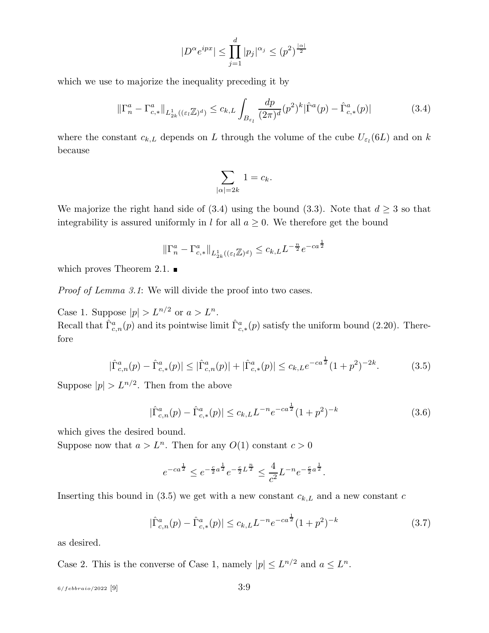$$
|D^{\alpha}e^{ipx}| \le \prod_{j=1}^d |p_j|^{\alpha_j} \le (p^2)^{\frac{|\alpha|}{2}}
$$

which we use to majorize the inequality preceding it by

$$
\|\Gamma_n^a - \Gamma_{c,*}^a\|_{L^1_{2k}((\varepsilon_l \mathbb{Z})^d)} \le c_{k,L} \int_{B_{\varepsilon_l}} \frac{dp}{(2\pi)^d} (p^2)^k |\hat{\Gamma}^a(p) - \hat{\Gamma}_{c,*}^a(p)| \tag{3.4}
$$

where the constant  $c_{k,L}$  depends on L through the volume of the cube  $U_{\varepsilon_l}(6L)$  and on k because

$$
\sum_{|\alpha|=2k} 1 = c_k.
$$

We majorize the right hand side of (3.4) using the bound (3.3). Note that  $d \geq 3$  so that integrability is assured uniformly in l for all  $a \geq 0$ . We therefore get the bound

$$
\|\Gamma_n^a - \Gamma_{c,*}^a\|_{L_{2k}^1((\varepsilon_l \mathbb{Z})^d)} \le c_{k,L} L^{-\frac{n}{2}} e^{-ca^{\frac{1}{2}}}
$$

which proves Theorem 2.1.  $\blacksquare$ 

*Proof of Lemma 3.1*: We will divide the proof into two cases.

Case 1. Suppose  $|p| > L^{n/2}$  or  $a > L^n$ . Recall that  $\hat{\Gamma}_{c,n}^{a}(p)$  and its pointwise limit  $\hat{\Gamma}_{c,*}^{a}(p)$  satisfy the uniform bound (2.20). Therefore

$$
|\hat{\Gamma}_{c,n}^{a}(p) - \hat{\Gamma}_{c,*}^{a}(p)| \le |\hat{\Gamma}_{c,n}^{a}(p)| + |\hat{\Gamma}_{c,*}^{a}(p)| \le c_{k,L} e^{-ca^{\frac{1}{2}}} (1+p^2)^{-2k}.
$$
 (3.5)

Suppose  $|p| > L^{n/2}$ . Then from the above

$$
|\hat{\Gamma}_{c,n}^{a}(p) - \hat{\Gamma}_{c,*}^{a}(p)| \le c_{k,L} L^{-n} e^{-ca^{\frac{1}{2}}} (1+p^2)^{-k}
$$
\n(3.6)

which gives the desired bound.

Suppose now that  $a > L^n$ . Then for any  $O(1)$  constant  $c > 0$ 

$$
e^{-ca^{\frac{1}{2}}} \leq e^{-\frac{c}{2}a^{\frac{1}{2}}}e^{-\frac{c}{2}L^{\frac{n}{2}}} \leq \frac{4}{c^2}L^{-n}e^{-\frac{c}{2}a^{\frac{1}{2}}}.
$$

Inserting this bound in (3.5) we get with a new constant  $c_{k,L}$  and a new constant c

$$
|\hat{\Gamma}_{c,n}^{a}(p) - \hat{\Gamma}_{c,*}^{a}(p)| \le c_{k,L} L^{-n} e^{-ca^{\frac{1}{2}}} (1+p^2)^{-k}
$$
 (3.7)

as desired.

Case 2. This is the converse of Case 1, namely  $|p| \leq L^{n/2}$  and  $a \leq L^n$ .

 $6/febbraio/2022$  [9]  $3:9$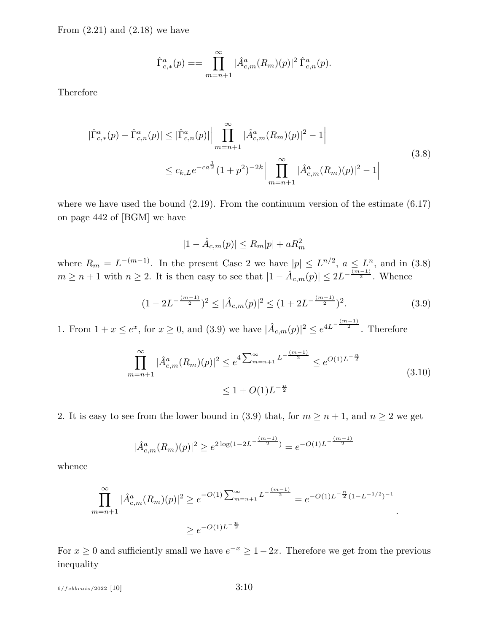From  $(2.21)$  and  $(2.18)$  we have

$$
\hat{\Gamma}_{c,*}^a(p) = = \prod_{m=n+1}^{\infty} |\hat{A}_{c,m}^a(R_m)(p)|^2 \hat{\Gamma}_{c,n}^a(p).
$$

Therefore

$$
|\hat{\Gamma}_{c,*}^a(p) - \hat{\Gamma}_{c,n}^a(p)| \le |\hat{\Gamma}_{c,n}^a(p)| \left| \prod_{m=n+1}^{\infty} |\hat{A}_{c,m}^a(R_m)(p)|^2 - 1 \right|
$$
  

$$
\le c_{k,L} e^{-ca^{\frac{1}{2}}} (1+p^2)^{-2k} \left| \prod_{m=n+1}^{\infty} |\hat{A}_{c,m}^a(R_m)(p)|^2 - 1 \right|
$$
(3.8)

where we have used the bound  $(2.19)$ . From the continuum version of the estimate  $(6.17)$ on page 442 of [BGM] we have

$$
|1 - \hat{A}_{c,m}(p)| \le R_m |p| + aR_m^2
$$

where  $R_m = L^{-(m-1)}$ . In the present Case 2 we have  $|p| \le L^{n/2}$ ,  $a \le L^n$ , and in (3.8)  $m \geq n+1$  with  $n \geq 2$ . It is then easy to see that  $|1 - \hat{A}_{c,m}(p)| \leq 2L^{-\frac{(m-1)}{2}}$ . Whence

$$
(1 - 2L^{-\frac{(m-1)}{2}})^2 \le |\hat{A}_{c,m}(p)|^2 \le (1 + 2L^{-\frac{(m-1)}{2}})^2. \tag{3.9}
$$

1. From  $1+x \leq e^x$ , for  $x \geq 0$ , and  $(3.9)$  we have  $|\hat{A}_{c,m}(p)|^2 \leq e^{4L^{-\frac{(m-1)}{2}}}$ . Therefore

$$
\prod_{m=n+1}^{\infty} |\hat{A}_{c,m}^a(R_m)(p)|^2 \le e^{4\sum_{m=n+1}^{\infty} L^{-\frac{(m-1)}{2}}} \le e^{O(1)L^{-\frac{n}{2}}} \tag{3.10}
$$
\n
$$
\le 1 + O(1)L^{-\frac{n}{2}}
$$

.

2. It is easy to see from the lower bound in (3.9) that, for  $m \ge n + 1$ , and  $n \ge 2$  we get

$$
|\hat{A}_{c,m}^a(R_m)(p)|^2 \ge e^{2\log(1-2L^{-\frac{(m-1)}{2}})} = e^{-O(1)L^{-\frac{(m-1)}{2}}}
$$

whence

$$
\prod_{m=n+1}^{\infty} |\hat{A}_{c,m}^a(R_m)(p)|^2 \ge e^{-O(1)\sum_{m=n+1}^{\infty} L^{-\frac{(m-1)}{2}}} = e^{-O(1)L^{-\frac{n}{2}}(1-L^{-1/2})^{-1}}
$$

$$
\ge e^{-O(1)L^{-\frac{n}{2}}}
$$

For  $x \geq 0$  and sufficiently small we have  $e^{-x} \geq 1-2x$ . Therefore we get from the previous inequality

 $6/febbraio/2022$  [10]  $3:10$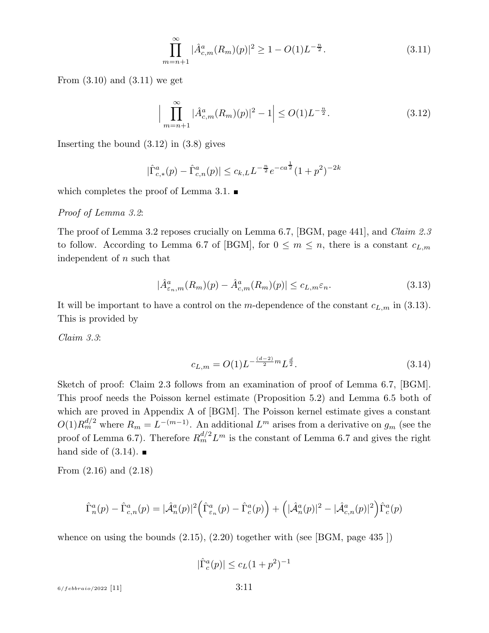$$
\prod_{m=n+1}^{\infty} |\hat{A}_{c,m}^a(R_m)(p)|^2 \ge 1 - O(1)L^{-\frac{n}{2}}.
$$
\n(3.11)

From  $(3.10)$  and  $(3.11)$  we get

$$
\left| \prod_{m=n+1}^{\infty} |\hat{A}_{c,m}^a(R_m)(p)|^2 - 1 \right| \le O(1) L^{-\frac{n}{2}}.
$$
 (3.12)

Inserting the bound  $(3.12)$  in  $(3.8)$  gives

$$
|\hat{\Gamma}_{c,*}^a(p) - \hat{\Gamma}_{c,n}^a(p)| \le c_{k,L} L^{-\frac{n}{2}} e^{-ca^{\frac{1}{2}}} (1+p^2)^{-2k}
$$

which completes the proof of Lemma 3.1.  $\blacksquare$ 

*Proof of Lemma 3.2*:

The proof of Lemma 3.2 reposes crucially on Lemma 6.7, [BGM, page 441], and *Claim 2.3* to follow. According to Lemma 6.7 of [BGM], for  $0 \leq m \leq n$ , there is a constant  $c_{L,m}$ independent of  $n$  such that

$$
|\hat{A}^a_{\varepsilon_n,m}(R_m)(p) - \hat{A}^a_{c,m}(R_m)(p)| \leq c_{L,m}\varepsilon_n. \tag{3.13}
$$

It will be important to have a control on the m-dependence of the constant  $c_{L,m}$  in (3.13). This is provided by

*Claim 3.3*:

$$
c_{L,m} = O(1)L^{-\frac{(d-2)}{2}m}L^{\frac{d}{2}}.
$$
\n(3.14)

Sketch of proof: Claim 2.3 follows from an examination of proof of Lemma 6.7, [BGM]. This proof needs the Poisson kernel estimate (Proposition 5.2) and Lemma 6.5 both of which are proved in Appendix A of [BGM]. The Poisson kernel estimate gives a constant  $O(1)R_m^{d/2}$  where  $R_m = L^{-(m-1)}$ . An additional  $L^m$  arises from a derivative on  $g_m$  (see the proof of Lemma 6.7). Therefore  $R_m^{d/2} L^m$  is the constant of Lemma 6.7 and gives the right hand side of  $(3.14)$ .

From (2.16) and (2.18)

$$
\hat{\Gamma}_n^a(p) - \hat{\Gamma}_{c,n}^a(p) = |\hat{\mathcal{A}}_n^a(p)|^2 \left( \hat{\Gamma}_{\varepsilon_n}^a(p) - \hat{\Gamma}_c^a(p) \right) + \left( |\hat{\mathcal{A}}_n^a(p)|^2 - |\hat{\mathcal{A}}_{c,n}^a(p)|^2 \right) \hat{\Gamma}_c^a(p)
$$

whence on using the bounds  $(2.15)$ ,  $(2.20)$  together with (see [BGM, page 435])

$$
|\hat{\Gamma}_{c}^{a}(p)| \leq c_{L}(1+p^{2})^{-1}
$$

 $6/febbraio/2022$  [11]  $3:11$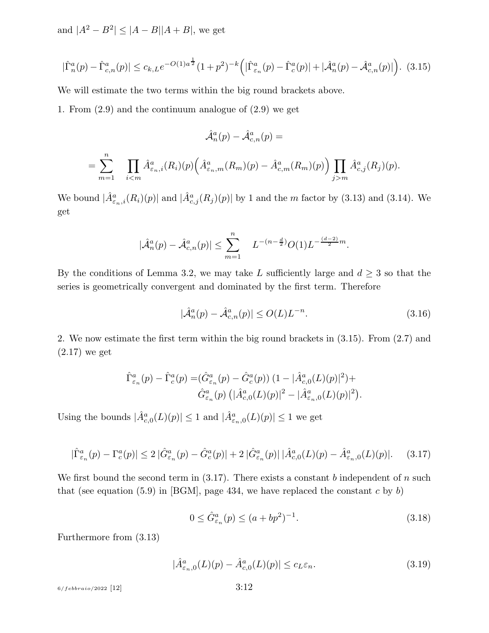and  $|A^2 - B^2| \leq |A - B||A + B|$ , we get

$$
|\hat{\Gamma}_n^a(p) - \hat{\Gamma}_{c,n}^a(p)| \le c_{k,L} e^{-O(1)a^{\frac{1}{2}}}(1+p^2)^{-k} \left( |\hat{\Gamma}_{\varepsilon_n}^a(p) - \hat{\Gamma}_c^a(p)| + |\hat{\mathcal{A}}_n^a(p) - \hat{\mathcal{A}}_{c,n}^a(p)| \right). \tag{3.15}
$$

We will estimate the two terms within the big round brackets above.

1. From (2.9) and the continuum analogue of (2.9) we get

$$
\hat{\mathcal{A}}_n^a(p) - \hat{\mathcal{A}}_{c,n}^a(p) =
$$
\n
$$
= \sum_{m=1}^n \prod_{i < m} \hat{A}_{\varepsilon_n,i}^a(R_i)(p) \left( \hat{A}_{\varepsilon_n,m}^a(R_m)(p) - \hat{A}_{c,m}^a(R_m)(p) \right) \prod_{j > m} \hat{A}_{c,j}^a(R_j)(p).
$$

We bound  $|\hat{A}^a_{\varepsilon_n,i}(R_i)(p)|$  and  $|\hat{A}^a_{\varepsilon,j}(R_j)(p)|$  by 1 and the m factor by (3.13) and (3.14). We get

$$
|\hat{\mathcal{A}}_n^a(p) - \hat{\mathcal{A}}_{c,n}^a(p)| \leq \sum_{m=1}^n L^{-(n-\frac{d}{2})} O(1) L^{-\frac{(d-2)}{2}m}.
$$

By the conditions of Lemma 3.2, we may take L sufficiently large and  $d \geq 3$  so that the series is geometrically convergent and dominated by the first term. Therefore

$$
|\hat{\mathcal{A}}_n^a(p) - \hat{\mathcal{A}}_{c,n}^a(p)| \le O(L)L^{-n}.
$$
\n(3.16)

2. We now estimate the first term within the big round brackets in (3.15). From (2.7) and (2.17) we get

$$
\hat{\Gamma}_{\varepsilon_n}^a(p) - \hat{\Gamma}_c^a(p) = (\hat{G}_{\varepsilon_n}^a(p) - \hat{G}_c^a(p)) (1 - |\hat{A}_{c,0}^a(L)(p)|^2) +
$$
  

$$
\hat{G}_{\varepsilon_n}^a(p) (|\hat{A}_{c,0}^a(L)(p)|^2 - |\hat{A}_{\varepsilon_n,0}^a(L)(p)|^2).
$$

Using the bounds  $|\hat{A}_{c,0}^a(L)(p)| \leq 1$  and  $|\hat{A}_{\varepsilon_n,0}^a(L)(p)| \leq 1$  we get

$$
|\hat{\Gamma}_{\varepsilon_n}^a(p) - \Gamma_c^a(p)| \le 2 |\hat{G}_{\varepsilon_n}^a(p) - \hat{G}_c^a(p)| + 2 |\hat{G}_{\varepsilon_n}^a(p)| |\hat{A}_{c,0}^a(L)(p) - \hat{A}_{\varepsilon_n,0}^a(L)(p)|. \tag{3.17}
$$

We first bound the second term in  $(3.17)$ . There exists a constant b independent of n such that (see equation (5.9) in [BGM], page 434, we have replaced the constant c by b)

$$
0 \le \hat{G}^a_{\varepsilon_n}(p) \le (a + bp^2)^{-1}.
$$
\n(3.18)

Furthermore from (3.13)

$$
|\hat{A}^a_{\varepsilon_n,0}(L)(p) - \hat{A}^a_{c,0}(L)(p)| \le c_L \varepsilon_n. \tag{3.19}
$$

 $6/febbraio/2022$  [12]  $3:12$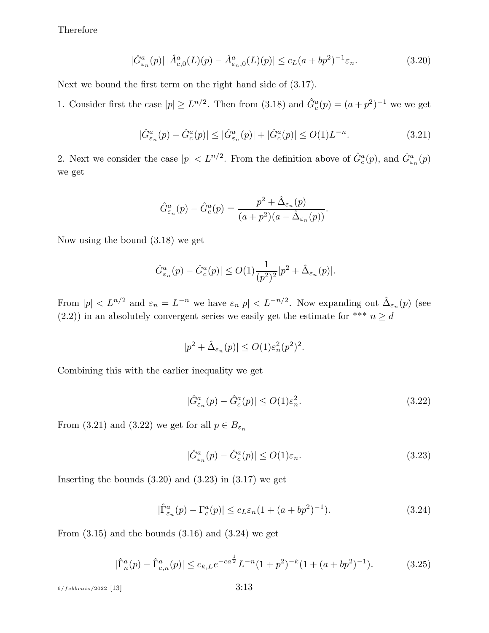Therefore

$$
|\hat{G}^a_{\varepsilon_n}(p)| \, |\hat{A}^a_{c,0}(L)(p) - \hat{A}^a_{\varepsilon_n,0}(L)(p)| \le c_L(a + bp^2)^{-1} \varepsilon_n. \tag{3.20}
$$

Next we bound the first term on the right hand side of (3.17).

1. Consider first the case  $|p| \ge L^{n/2}$ . Then from (3.18) and  $\hat{G}_c^a(p) = (a+p^2)^{-1}$  we we get

$$
|\hat{G}_{\varepsilon_n}^a(p) - \hat{G}_c^a(p)| \le |\hat{G}_{\varepsilon_n}^a(p)| + |\hat{G}_c^a(p)| \le O(1)L^{-n}.
$$
 (3.21)

2. Next we consider the case  $|p| < L^{n/2}$ . From the definition above of  $\hat{G}_c^a(p)$ , and  $\hat{G}_{\varepsilon_n}^a(p)$ we get

$$
\hat{G}^a_{\varepsilon_n}(p) - \hat{G}^a_c(p) = \frac{p^2 + \hat{\Delta}_{\varepsilon_n}(p)}{(a+p^2)(a-\hat{\Delta}_{\varepsilon_n}(p))}.
$$

Now using the bound (3.18) we get

$$
|\hat{G}^a_{\varepsilon_n}(p) - \hat{G}^a_c(p)| \le O(1) \frac{1}{(p^2)^2} |p^2 + \hat{\Delta}_{\varepsilon_n}(p)|.
$$

From  $|p| < L^{n/2}$  and  $\varepsilon_n = L^{-n}$  we have  $\varepsilon_n |p| < L^{-n/2}$ . Now expanding out  $\hat{\Delta}_{\varepsilon_n}(p)$  (see (2.2)) in an absolutely convergent series we easily get the estimate for \*\*\*  $n \geq d$ 

$$
|p^2 + \hat{\Delta}_{\varepsilon_n}(p)| \le O(1)\varepsilon_n^2 (p^2)^2.
$$

Combining this with the earlier inequality we get

$$
|\hat{G}^a_{\varepsilon_n}(p) - \hat{G}^a_c(p)| \le O(1)\varepsilon_n^2. \tag{3.22}
$$

From (3.21) and (3.22) we get for all  $p \in B_{\varepsilon_n}$ 

$$
|\hat{G}^a_{\varepsilon_n}(p) - \hat{G}^a_c(p)| \le O(1)\varepsilon_n. \tag{3.23}
$$

Inserting the bounds  $(3.20)$  and  $(3.23)$  in  $(3.17)$  we get

$$
|\hat{\Gamma}_{\varepsilon_n}^a(p) - \Gamma_c^a(p)| \le c_L \varepsilon_n (1 + (a + bp^2)^{-1}).\tag{3.24}
$$

From  $(3.15)$  and the bounds  $(3.16)$  and  $(3.24)$  we get

$$
|\hat{\Gamma}_n^a(p) - \hat{\Gamma}_{c,n}^a(p)| \le c_{k,L} e^{-ca^{\frac{1}{2}}} L^{-n} (1+p^2)^{-k} (1+(a+bp^2)^{-1}).
$$
 (3.25)

 $6/febbraio/2022$  [13]  $3:13$